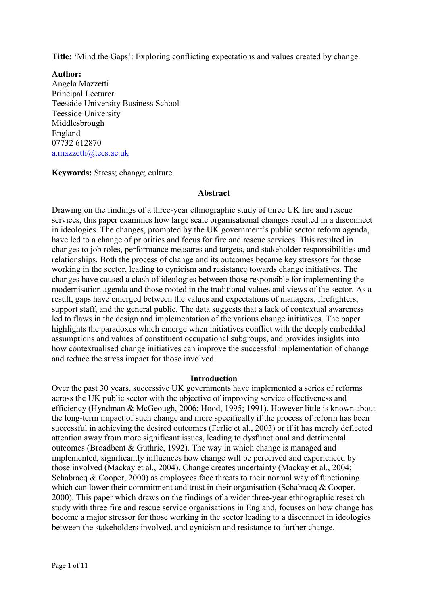**Title:** 'Mind the Gaps': Exploring conflicting expectations and values created by change.

**Author:**  Angela Mazzetti Principal Lecturer Teesside University Business School Teesside University Middlesbrough England 07732 612870 [a.mazzetti@tees.ac.uk](mailto:a.mazzetti@tees.ac.uk)

**Keywords:** Stress; change; culture.

# **Abstract**

Drawing on the findings of a three-year ethnographic study of three UK fire and rescue services, this paper examines how large scale organisational changes resulted in a disconnect in ideologies. The changes, prompted by the UK government's public sector reform agenda, have led to a change of priorities and focus for fire and rescue services. This resulted in changes to job roles, performance measures and targets, and stakeholder responsibilities and relationships. Both the process of change and its outcomes became key stressors for those working in the sector, leading to cynicism and resistance towards change initiatives. The changes have caused a clash of ideologies between those responsible for implementing the modernisation agenda and those rooted in the traditional values and views of the sector. As a result, gaps have emerged between the values and expectations of managers, firefighters, support staff, and the general public. The data suggests that a lack of contextual awareness led to flaws in the design and implementation of the various change initiatives. The paper highlights the paradoxes which emerge when initiatives conflict with the deeply embedded assumptions and values of constituent occupational subgroups, and provides insights into how contextualised change initiatives can improve the successful implementation of change and reduce the stress impact for those involved.

#### **Introduction**

Over the past 30 years, successive UK governments have implemented a series of reforms across the UK public sector with the objective of improving service effectiveness and efficiency (Hyndman & McGeough, 2006; Hood, 1995; 1991). However little is known about the long-term impact of such change and more specifically if the process of reform has been successful in achieving the desired outcomes (Ferlie et al., 2003) or if it has merely deflected attention away from more significant issues, leading to dysfunctional and detrimental outcomes (Broadbent & Guthrie, 1992). The way in which change is managed and implemented, significantly influences how change will be perceived and experienced by those involved (Mackay et al., 2004). Change creates uncertainty (Mackay et al., 2004; Schabracq  $\&$  Cooper, 2000) as employees face threats to their normal way of functioning which can lower their commitment and trust in their organisation (Schabracq & Cooper, 2000). This paper which draws on the findings of a wider three-year ethnographic research study with three fire and rescue service organisations in England, focuses on how change has become a major stressor for those working in the sector leading to a disconnect in ideologies between the stakeholders involved, and cynicism and resistance to further change.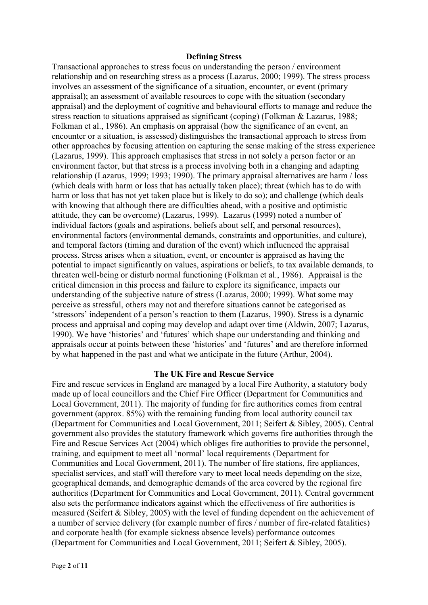#### **Defining Stress**

Transactional approaches to stress focus on understanding the person / environment relationship and on researching stress as a process (Lazarus, 2000; 1999). The stress process involves an assessment of the significance of a situation, encounter, or event (primary appraisal); an assessment of available resources to cope with the situation (secondary appraisal) and the deployment of cognitive and behavioural efforts to manage and reduce the stress reaction to situations appraised as significant (coping) (Folkman & Lazarus, 1988; Folkman et al., 1986). An emphasis on appraisal (how the significance of an event, an encounter or a situation, is assessed) distinguishes the transactional approach to stress from other approaches by focusing attention on capturing the sense making of the stress experience (Lazarus, 1999). This approach emphasises that stress in not solely a person factor or an environment factor, but that stress is a process involving both in a changing and adapting relationship (Lazarus, 1999; 1993; 1990). The primary appraisal alternatives are harm / loss (which deals with harm or loss that has actually taken place); threat (which has to do with harm or loss that has not yet taken place but is likely to do so); and challenge (which deals with knowing that although there are difficulties ahead, with a positive and optimistic attitude, they can be overcome) (Lazarus, 1999). Lazarus (1999) noted a number of individual factors (goals and aspirations, beliefs about self, and personal resources), environmental factors (environmental demands, constraints and opportunities, and culture), and temporal factors (timing and duration of the event) which influenced the appraisal process. Stress arises when a situation, event, or encounter is appraised as having the potential to impact significantly on values, aspirations or beliefs, to tax available demands, to threaten well-being or disturb normal functioning (Folkman et al., 1986). Appraisal is the critical dimension in this process and failure to explore its significance, impacts our understanding of the subjective nature of stress (Lazarus, 2000; 1999). What some may perceive as stressful, others may not and therefore situations cannot be categorised as 'stressors' independent of a person's reaction to them (Lazarus, 1990). Stress is a dynamic process and appraisal and coping may develop and adapt over time (Aldwin, 2007; Lazarus, 1990). We have 'histories' and 'futures' which shape our understanding and thinking and appraisals occur at points between these 'histories' and 'futures' and are therefore informed by what happened in the past and what we anticipate in the future (Arthur, 2004).

### **The UK Fire and Rescue Service**

Fire and rescue services in England are managed by a local Fire Authority, a statutory body made up of local councillors and the Chief Fire Officer (Department for Communities and Local Government, 2011). The majority of funding for fire authorities comes from central government (approx. 85%) with the remaining funding from local authority council tax (Department for Communities and Local Government, 2011; Seifert & Sibley, 2005). Central government also provides the statutory framework which governs fire authorities through the Fire and Rescue Services Act (2004) which obliges fire authorities to provide the personnel, training, and equipment to meet all 'normal' local requirements (Department for Communities and Local Government, 2011). The number of fire stations, fire appliances, specialist services, and staff will therefore vary to meet local needs depending on the size, geographical demands, and demographic demands of the area covered by the regional fire authorities (Department for Communities and Local Government, 2011). Central government also sets the performance indicators against which the effectiveness of fire authorities is measured (Seifert & Sibley, 2005) with the level of funding dependent on the achievement of a number of service delivery (for example number of fires / number of fire-related fatalities) and corporate health (for example sickness absence levels) performance outcomes (Department for Communities and Local Government, 2011; Seifert & Sibley, 2005).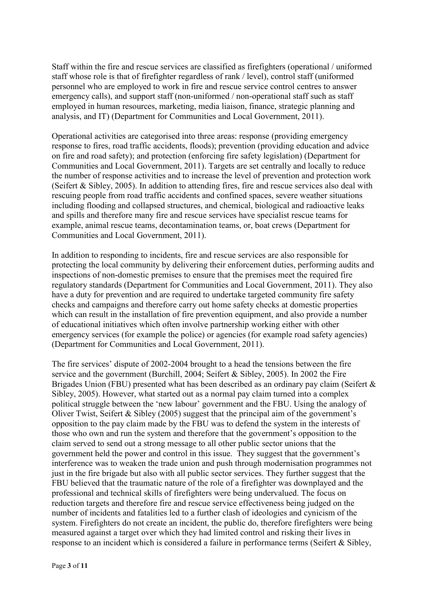Staff within the fire and rescue services are classified as firefighters (operational / uniformed staff whose role is that of firefighter regardless of rank / level), control staff (uniformed personnel who are employed to work in fire and rescue service control centres to answer emergency calls), and support staff (non-uniformed / non-operational staff such as staff employed in human resources, marketing, media liaison, finance, strategic planning and analysis, and IT) (Department for Communities and Local Government, 2011).

Operational activities are categorised into three areas: response (providing emergency response to fires, road traffic accidents, floods); prevention (providing education and advice on fire and road safety); and protection (enforcing fire safety legislation) (Department for Communities and Local Government, 2011). Targets are set centrally and locally to reduce the number of response activities and to increase the level of prevention and protection work (Seifert & Sibley, 2005). In addition to attending fires, fire and rescue services also deal with rescuing people from road traffic accidents and confined spaces, severe weather situations including flooding and collapsed structures, and chemical, biological and radioactive leaks and spills and therefore many fire and rescue services have specialist rescue teams for example, animal rescue teams, decontamination teams, or, boat crews (Department for Communities and Local Government, 2011).

In addition to responding to incidents, fire and rescue services are also responsible for protecting the local community by delivering their enforcement duties, performing audits and inspections of non-domestic premises to ensure that the premises meet the required fire regulatory standards (Department for Communities and Local Government, 2011). They also have a duty for prevention and are required to undertake targeted community fire safety checks and campaigns and therefore carry out home safety checks at domestic properties which can result in the installation of fire prevention equipment, and also provide a number of educational initiatives which often involve partnership working either with other emergency services (for example the police) or agencies (for example road safety agencies) (Department for Communities and Local Government, 2011).

The fire services' dispute of 2002-2004 brought to a head the tensions between the fire service and the government (Burchill, 2004; Seifert & Sibley, 2005). In 2002 the Fire Brigades Union (FBU) presented what has been described as an ordinary pay claim (Seifert  $\&$ Sibley, 2005). However, what started out as a normal pay claim turned into a complex political struggle between the 'new labour' government and the FBU. Using the analogy of Oliver Twist, Seifert & Sibley (2005) suggest that the principal aim of the government's opposition to the pay claim made by the FBU was to defend the system in the interests of those who own and run the system and therefore that the government's opposition to the claim served to send out a strong message to all other public sector unions that the government held the power and control in this issue. They suggest that the government's interference was to weaken the trade union and push through modernisation programmes not just in the fire brigade but also with all public sector services. They further suggest that the FBU believed that the traumatic nature of the role of a firefighter was downplayed and the professional and technical skills of firefighters were being undervalued. The focus on reduction targets and therefore fire and rescue service effectiveness being judged on the number of incidents and fatalities led to a further clash of ideologies and cynicism of the system. Firefighters do not create an incident, the public do, therefore firefighters were being measured against a target over which they had limited control and risking their lives in response to an incident which is considered a failure in performance terms (Seifert & Sibley,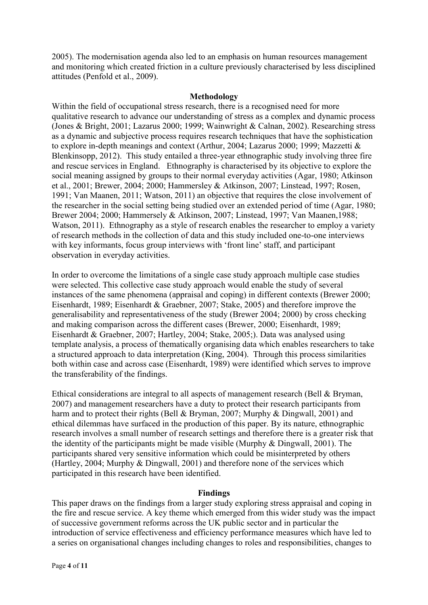2005). The modernisation agenda also led to an emphasis on human resources management and monitoring which created friction in a culture previously characterised by less disciplined attitudes (Penfold et al., 2009).

### **Methodology**

Within the field of occupational stress research, there is a recognised need for more qualitative research to advance our understanding of stress as a complex and dynamic process (Jones & Bright, 2001; Lazarus 2000; 1999; Wainwright & Calnan, 2002). Researching stress as a dynamic and subjective process requires research techniques that have the sophistication to explore in-depth meanings and context (Arthur, 2004; Lazarus 2000; 1999; Mazzetti & Blenkinsopp, 2012). This study entailed a three-year ethnographic study involving three fire and rescue services in England. Ethnography is characterised by its objective to explore the social meaning assigned by groups to their normal everyday activities (Agar, 1980; Atkinson et al., 2001; Brewer, 2004; 2000; Hammersley & Atkinson, 2007; Linstead, 1997; Rosen, 1991; Van Maanen, 2011; Watson, 2011) an objective that requires the close involvement of the researcher in the social setting being studied over an extended period of time (Agar, 1980; Brewer 2004; 2000; Hammersely & Atkinson, 2007; Linstead, 1997; Van Maanen,1988; Watson, 2011). Ethnography as a style of research enables the researcher to employ a variety of research methods in the collection of data and this study included one-to-one interviews with key informants, focus group interviews with 'front line' staff, and participant observation in everyday activities.

In order to overcome the limitations of a single case study approach multiple case studies were selected. This collective case study approach would enable the study of several instances of the same phenomena (appraisal and coping) in different contexts (Brewer 2000; Eisenhardt, 1989; Eisenhardt & Graebner, 2007; Stake, 2005) and therefore improve the generalisability and representativeness of the study (Brewer 2004; 2000) by cross checking and making comparison across the different cases (Brewer, 2000; Eisenhardt, 1989; Eisenhardt & Graebner, 2007; Hartley, 2004; Stake, 2005;). Data was analysed using template analysis, a process of thematically organising data which enables researchers to take a structured approach to data interpretation (King, 2004). Through this process similarities both within case and across case (Eisenhardt, 1989) were identified which serves to improve the transferability of the findings.

Ethical considerations are integral to all aspects of management research (Bell & Bryman, 2007) and management researchers have a duty to protect their research participants from harm and to protect their rights (Bell & Bryman, 2007; Murphy & Dingwall, 2001) and ethical dilemmas have surfaced in the production of this paper. By its nature, ethnographic research involves a small number of research settings and therefore there is a greater risk that the identity of the participants might be made visible (Murphy & Dingwall, 2001). The participants shared very sensitive information which could be misinterpreted by others (Hartley, 2004; Murphy & Dingwall, 2001) and therefore none of the services which participated in this research have been identified.

# **Findings**

This paper draws on the findings from a larger study exploring stress appraisal and coping in the fire and rescue service. A key theme which emerged from this wider study was the impact of successive government reforms across the UK public sector and in particular the introduction of service effectiveness and efficiency performance measures which have led to a series on organisational changes including changes to roles and responsibilities, changes to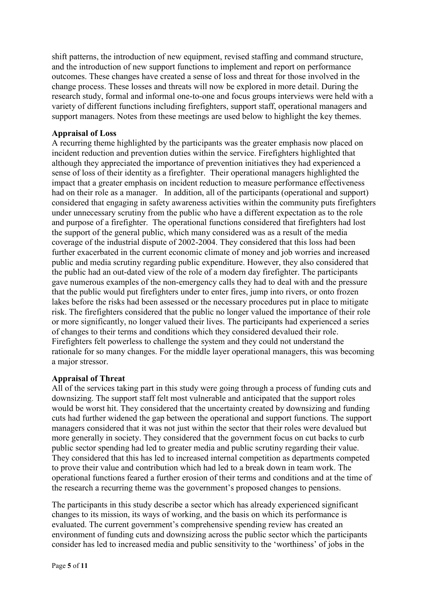shift patterns, the introduction of new equipment, revised staffing and command structure, and the introduction of new support functions to implement and report on performance outcomes. These changes have created a sense of loss and threat for those involved in the change process. These losses and threats will now be explored in more detail. During the research study, formal and informal one-to-one and focus groups interviews were held with a variety of different functions including firefighters, support staff, operational managers and support managers. Notes from these meetings are used below to highlight the key themes.

# **Appraisal of Loss**

A recurring theme highlighted by the participants was the greater emphasis now placed on incident reduction and prevention duties within the service. Firefighters highlighted that although they appreciated the importance of prevention initiatives they had experienced a sense of loss of their identity as a firefighter. Their operational managers highlighted the impact that a greater emphasis on incident reduction to measure performance effectiveness had on their role as a manager. In addition, all of the participants (operational and support) considered that engaging in safety awareness activities within the community puts firefighters under unnecessary scrutiny from the public who have a different expectation as to the role and purpose of a firefighter. The operational functions considered that firefighters had lost the support of the general public, which many considered was as a result of the media coverage of the industrial dispute of 2002-2004. They considered that this loss had been further exacerbated in the current economic climate of money and job worries and increased public and media scrutiny regarding public expenditure. However, they also considered that the public had an out-dated view of the role of a modern day firefighter. The participants gave numerous examples of the non-emergency calls they had to deal with and the pressure that the public would put firefighters under to enter fires, jump into rivers, or onto frozen lakes before the risks had been assessed or the necessary procedures put in place to mitigate risk. The firefighters considered that the public no longer valued the importance of their role or more significantly, no longer valued their lives. The participants had experienced a series of changes to their terms and conditions which they considered devalued their role. Firefighters felt powerless to challenge the system and they could not understand the rationale for so many changes. For the middle layer operational managers, this was becoming a major stressor.

# **Appraisal of Threat**

All of the services taking part in this study were going through a process of funding cuts and downsizing. The support staff felt most vulnerable and anticipated that the support roles would be worst hit. They considered that the uncertainty created by downsizing and funding cuts had further widened the gap between the operational and support functions. The support managers considered that it was not just within the sector that their roles were devalued but more generally in society. They considered that the government focus on cut backs to curb public sector spending had led to greater media and public scrutiny regarding their value. They considered that this has led to increased internal competition as departments competed to prove their value and contribution which had led to a break down in team work. The operational functions feared a further erosion of their terms and conditions and at the time of the research a recurring theme was the government's proposed changes to pensions.

The participants in this study describe a sector which has already experienced significant changes to its mission, its ways of working, and the basis on which its performance is evaluated. The current government's comprehensive spending review has created an environment of funding cuts and downsizing across the public sector which the participants consider has led to increased media and public sensitivity to the 'worthiness' of jobs in the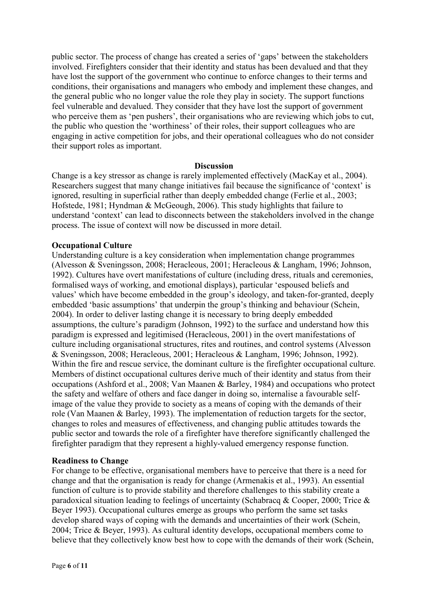public sector. The process of change has created a series of 'gaps' between the stakeholders involved. Firefighters consider that their identity and status has been devalued and that they have lost the support of the government who continue to enforce changes to their terms and conditions, their organisations and managers who embody and implement these changes, and the general public who no longer value the role they play in society. The support functions feel vulnerable and devalued. They consider that they have lost the support of government who perceive them as 'pen pushers', their organisations who are reviewing which jobs to cut, the public who question the 'worthiness' of their roles, their support colleagues who are engaging in active competition for jobs, and their operational colleagues who do not consider their support roles as important.

### **Discussion**

Change is a key stressor as change is rarely implemented effectively (MacKay et al., 2004). Researchers suggest that many change initiatives fail because the significance of 'context' is ignored, resulting in superficial rather than deeply embedded change (Ferlie et al., 2003; Hofstede, 1981; Hyndman & McGeough, 2006). This study highlights that failure to understand 'context' can lead to disconnects between the stakeholders involved in the change process. The issue of context will now be discussed in more detail.

### **Occupational Culture**

Understanding culture is a key consideration when implementation change programmes (Alvesson & Sveningsson, 2008; Heracleous, 2001; Heracleous & Langham, 1996; Johnson, 1992). Cultures have overt manifestations of culture (including dress, rituals and ceremonies, formalised ways of working, and emotional displays), particular 'espoused beliefs and values' which have become embedded in the group's ideology, and taken-for-granted, deeply embedded 'basic assumptions' that underpin the group's thinking and behaviour (Schein, 2004). In order to deliver lasting change it is necessary to bring deeply embedded assumptions, the culture's paradigm (Johnson, 1992) to the surface and understand how this paradigm is expressed and legitimised (Heracleous, 2001) in the overt manifestations of culture including organisational structures, rites and routines, and control systems (Alvesson & Sveningsson, 2008; Heracleous, 2001; Heracleous & Langham, 1996; Johnson, 1992). Within the fire and rescue service, the dominant culture is the firefighter occupational culture. Members of distinct occupational cultures derive much of their identity and status from their occupations (Ashford et al., 2008; Van Maanen & Barley, 1984) and occupations who protect the safety and welfare of others and face danger in doing so, internalise a favourable selfimage of the value they provide to society as a means of coping with the demands of their role (Van Maanen & Barley, 1993). The implementation of reduction targets for the sector, changes to roles and measures of effectiveness, and changing public attitudes towards the public sector and towards the role of a firefighter have therefore significantly challenged the firefighter paradigm that they represent a highly-valued emergency response function.

### **Readiness to Change**

For change to be effective, organisational members have to perceive that there is a need for change and that the organisation is ready for change (Armenakis et al., 1993). An essential function of culture is to provide stability and therefore challenges to this stability create a paradoxical situation leading to feelings of uncertainty (Schabracq & Cooper, 2000; Trice & Beyer 1993). Occupational cultures emerge as groups who perform the same set tasks develop shared ways of coping with the demands and uncertainties of their work (Schein, 2004; Trice & Beyer, 1993). As cultural identity develops, occupational members come to believe that they collectively know best how to cope with the demands of their work (Schein,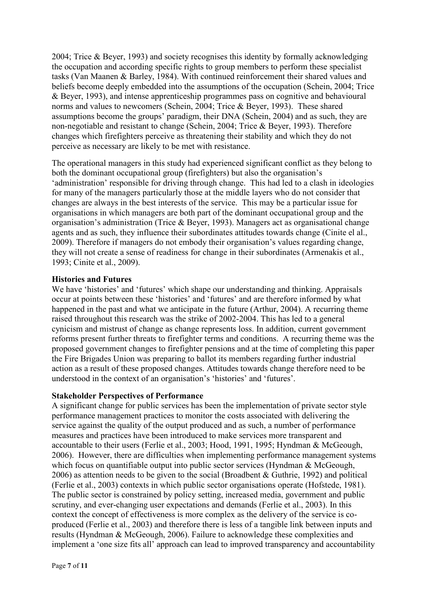2004; Trice & Beyer, 1993) and society recognises this identity by formally acknowledging the occupation and according specific rights to group members to perform these specialist tasks (Van Maanen & Barley, 1984). With continued reinforcement their shared values and beliefs become deeply embedded into the assumptions of the occupation (Schein, 2004; Trice & Beyer, 1993), and intense apprenticeship programmes pass on cognitive and behavioural norms and values to newcomers (Schein, 2004; Trice & Beyer, 1993). These shared assumptions become the groups' paradigm, their DNA (Schein, 2004) and as such, they are non-negotiable and resistant to change (Schein, 2004; Trice & Beyer, 1993). Therefore changes which firefighters perceive as threatening their stability and which they do not perceive as necessary are likely to be met with resistance.

The operational managers in this study had experienced significant conflict as they belong to both the dominant occupational group (firefighters) but also the organisation's 'administration' responsible for driving through change. This had led to a clash in ideologies for many of the managers particularly those at the middle layers who do not consider that changes are always in the best interests of the service. This may be a particular issue for organisations in which managers are both part of the dominant occupational group and the organisation's administration (Trice & Beyer, 1993). Managers act as organisational change agents and as such, they influence their subordinates attitudes towards change (Cinite el al., 2009). Therefore if managers do not embody their organisation's values regarding change, they will not create a sense of readiness for change in their subordinates (Armenakis et al., 1993; Cinite et al., 2009).

### **Histories and Futures**

We have 'histories' and 'futures' which shape our understanding and thinking. Appraisals occur at points between these 'histories' and 'futures' and are therefore informed by what happened in the past and what we anticipate in the future (Arthur, 2004). A recurring theme raised throughout this research was the strike of 2002-2004. This has led to a general cynicism and mistrust of change as change represents loss. In addition, current government reforms present further threats to firefighter terms and conditions. A recurring theme was the proposed government changes to firefighter pensions and at the time of completing this paper the Fire Brigades Union was preparing to ballot its members regarding further industrial action as a result of these proposed changes. Attitudes towards change therefore need to be understood in the context of an organisation's 'histories' and 'futures'.

#### **Stakeholder Perspectives of Performance**

A significant change for public services has been the implementation of private sector style performance management practices to monitor the costs associated with delivering the service against the quality of the output produced and as such, a number of performance measures and practices have been introduced to make services more transparent and accountable to their users (Ferlie et al., 2003; Hood, 1991, 1995; Hyndman & McGeough, 2006). However, there are difficulties when implementing performance management systems which focus on quantifiable output into public sector services (Hyndman & McGeough, 2006) as attention needs to be given to the social (Broadbent & Guthrie, 1992) and political (Ferlie et al., 2003) contexts in which public sector organisations operate (Hofstede, 1981). The public sector is constrained by policy setting, increased media, government and public scrutiny, and ever-changing user expectations and demands (Ferlie et al., 2003). In this context the concept of effectiveness is more complex as the delivery of the service is coproduced (Ferlie et al., 2003) and therefore there is less of a tangible link between inputs and results (Hyndman & McGeough, 2006). Failure to acknowledge these complexities and implement a 'one size fits all' approach can lead to improved transparency and accountability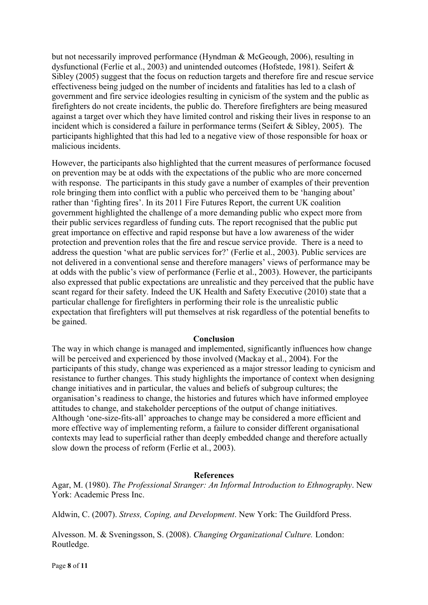but not necessarily improved performance (Hyndman & McGeough, 2006), resulting in dysfunctional (Ferlie et al., 2003) and unintended outcomes (Hofstede, 1981). Seifert & Sibley (2005) suggest that the focus on reduction targets and therefore fire and rescue service effectiveness being judged on the number of incidents and fatalities has led to a clash of government and fire service ideologies resulting in cynicism of the system and the public as firefighters do not create incidents, the public do. Therefore firefighters are being measured against a target over which they have limited control and risking their lives in response to an incident which is considered a failure in performance terms (Seifert & Sibley, 2005). The participants highlighted that this had led to a negative view of those responsible for hoax or malicious incidents.

However, the participants also highlighted that the current measures of performance focused on prevention may be at odds with the expectations of the public who are more concerned with response. The participants in this study gave a number of examples of their prevention role bringing them into conflict with a public who perceived them to be 'hanging about' rather than 'fighting fires'. In its 2011 Fire Futures Report, the current UK coalition government highlighted the challenge of a more demanding public who expect more from their public services regardless of funding cuts. The report recognised that the public put great importance on effective and rapid response but have a low awareness of the wider protection and prevention roles that the fire and rescue service provide. There is a need to address the question 'what are public services for?' (Ferlie et al., 2003). Public services are not delivered in a conventional sense and therefore managers' views of performance may be at odds with the public's view of performance (Ferlie et al., 2003). However, the participants also expressed that public expectations are unrealistic and they perceived that the public have scant regard for their safety. Indeed the UK Health and Safety Executive (2010) state that a particular challenge for firefighters in performing their role is the unrealistic public expectation that firefighters will put themselves at risk regardless of the potential benefits to be gained.

# **Conclusion**

The way in which change is managed and implemented, significantly influences how change will be perceived and experienced by those involved (Mackay et al., 2004). For the participants of this study, change was experienced as a major stressor leading to cynicism and resistance to further changes. This study highlights the importance of context when designing change initiatives and in particular, the values and beliefs of subgroup cultures; the organisation's readiness to change, the histories and futures which have informed employee attitudes to change, and stakeholder perceptions of the output of change initiatives. Although 'one-size-fits-all' approaches to change may be considered a more efficient and more effective way of implementing reform, a failure to consider different organisational contexts may lead to superficial rather than deeply embedded change and therefore actually slow down the process of reform (Ferlie et al., 2003).

### **References**

Agar, M. (1980). *The Professional Stranger: An Informal Introduction to Ethnography*. New York: Academic Press Inc.

Aldwin, C. (2007). *Stress, Coping, and Development*. New York: The Guildford Press.

Alvesson. M. & Sveningsson, S. (2008). *Changing Organizational Culture.* London: Routledge.

Page **8** of **11**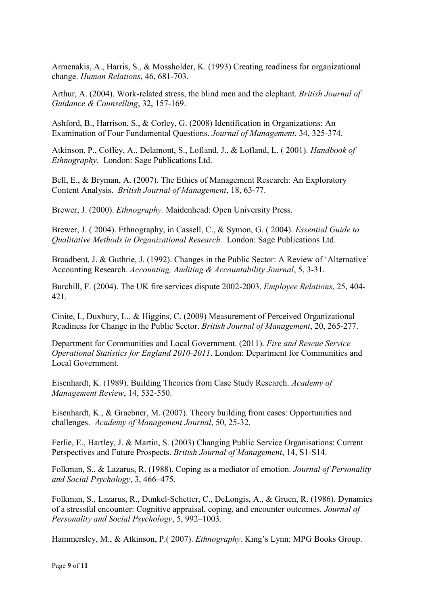Armenakis, A., Harris, S., & Mossholder, K. (1993) Creating readiness for organizational change. *Human Relations*, 46, 681-703.

Arthur, A. (2004). Work-related stress, the blind men and the elephant. *British Journal of Guidance & Counselling*, 32, 157-169.

Ashford, B., Harrison, S., & Corley, G. (2008) Identification in Organizations: An Examination of Four Fundamental Questions. *Journal of Management*, 34, 325-374.

Atkinson, P., Coffey, A., Delamont, S., Lofland, J., & Lofland, L. ( 2001). *Handbook of Ethnography.* London: Sage Publications Ltd.

Bell, E., & Bryman, A. (2007). The Ethics of Management Research: An Exploratory Content Analysis. *British Journal of Management*, 18, 63-77.

Brewer, J. (2000). *Ethnography.* Maidenhead: Open University Press.

Brewer, J. ( 2004). Ethnography, in Cassell, C., & Symon, G. ( 2004). *Essential Guide to Qualitative Methods in Organizational Research.* London: Sage Publications Ltd.

Broadbent, J. & Guthrie, J. (1992). Changes in the Public Sector: A Review of 'Alternative' Accounting Research. *Accounting, Auditing & Accountability Journal*, 5, 3-31.

Burchill, F. (2004). The UK fire services dispute 2002-2003. *Employee Relations*, 25, 404- 421.

Cinite, I., Duxbury, L., & Higgins, C. (2009) Measurement of Perceived Organizational Readiness for Change in the Public Sector. *British Journal of Management*, 20, 265-277.

Department for Communities and Local Government. (2011). *Fire and Rescue Service Operational Statistics for England 2010-2011*. London: Department for Communities and Local Government.

Eisenhardt, K. (1989). Building Theories from Case Study Research. *Academy of Management Review*, 14, 532-550.

Eisenhardt, K., & Graebner, M. (2007). Theory building from cases: Opportunities and challenges. *Academy of Management Journal*, 50, 25-32.

Ferlie, E., Hartley, J. & Martin, S. (2003) Changing Public Service Organisations: Current Perspectives and Future Prospects. *British Journal of Management*, 14, S1-S14.

Folkman, S., & Lazarus, R. (1988). Coping as a mediator of emotion. *Journal of Personality and Social Psychology*, 3, 466–475.

Folkman, S., Lazarus, R., Dunkel-Schetter, C., DeLongis, A., & Gruen, R. (1986). Dynamics of a stressful encounter: Cognitive appraisal, coping, and encounter outcomes. *Journal of Personality and Social Psychology*, 5, 992–1003.

Hammersley, M., & Atkinson, P.( 2007). *Ethnography.* King's Lynn: MPG Books Group.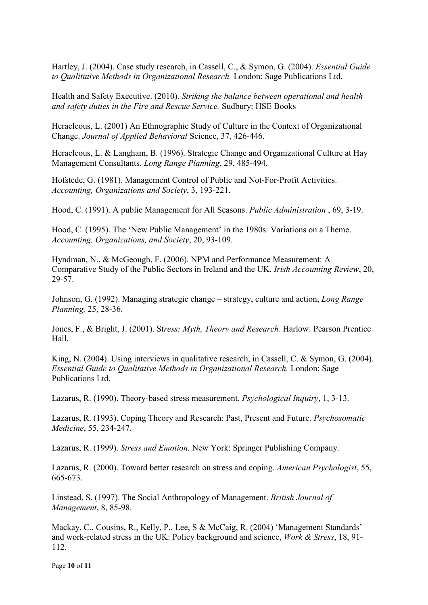Hartley, J. (2004). Case study research, in Cassell, C., & Symon, G. (2004). *Essential Guide to Qualitative Methods in Organizational Research.* London: Sage Publications Ltd.

Health and Safety Executive. (2010). *Striking the balance between operational and health and safety duties in the Fire and Rescue Service.* Sudbury: HSE Books

Heracleous, L. (2001) An Ethnographic Study of Culture in the Context of Organizational Change. *Journal of Applied Behavioral* Science, 37, 426-446.

Heracleous, L. & Langham, B. (1996). Strategic Change and Organizational Culture at Hay Management Consultants. *Long Range Planning*, 29, 485-494.

Hofstede, G. (1981). Management Control of Public and Not-For-Profit Activities. *Accounting, Organizations and Society*, 3, 193-221.

Hood, C. (1991). A public Management for All Seasons. *Public Administration* , 69, 3-19.

Hood, C. (1995). The 'New Public Management' in the 1980s: Variations on a Theme. *Accounting, Organizations, and Society*, 20, 93-109.

Hyndman, N., & McGeough, F. (2006). NPM and Performance Measurement: A Comparative Study of the Public Sectors in Ireland and the UK. *Irish Accounting Review*, 20, 29-57.

Johnson, G. (1992). Managing strategic change – strategy, culture and action, *Long Range Planning,* 25, 28-36.

Jones, F., & Bright, J. (2001). St*ress: Myth, Theory and Research.* Harlow: Pearson Prentice Hall.

King, N. (2004). Using interviews in qualitative research, in Cassell, C. & Symon, G. (2004). *Essential Guide to Qualitative Methods in Organizational Research.* London: Sage Publications Ltd.

Lazarus, R. (1990). Theory-based stress measurement. *Psychological Inquiry*, 1, 3-13.

Lazarus, R. (1993). Coping Theory and Research: Past, Present and Future. *Psychosomatic Medicine*, 55, 234-247.

Lazarus, R. (1999). *Stress and Emotion.* New York: Springer Publishing Company.

Lazarus, R. (2000). Toward better research on stress and coping. *American Psychologist*, 55, 665-673.

Linstead, S. (1997). The Social Anthropology of Management. *British Journal of Management*, 8, 85-98.

Mackay, C., Cousins, R., Kelly, P., Lee, S & McCaig, R. (2004) 'Management Standards' and work-related stress in the UK: Policy background and science, *Work & Stress*, 18, 91- 112.